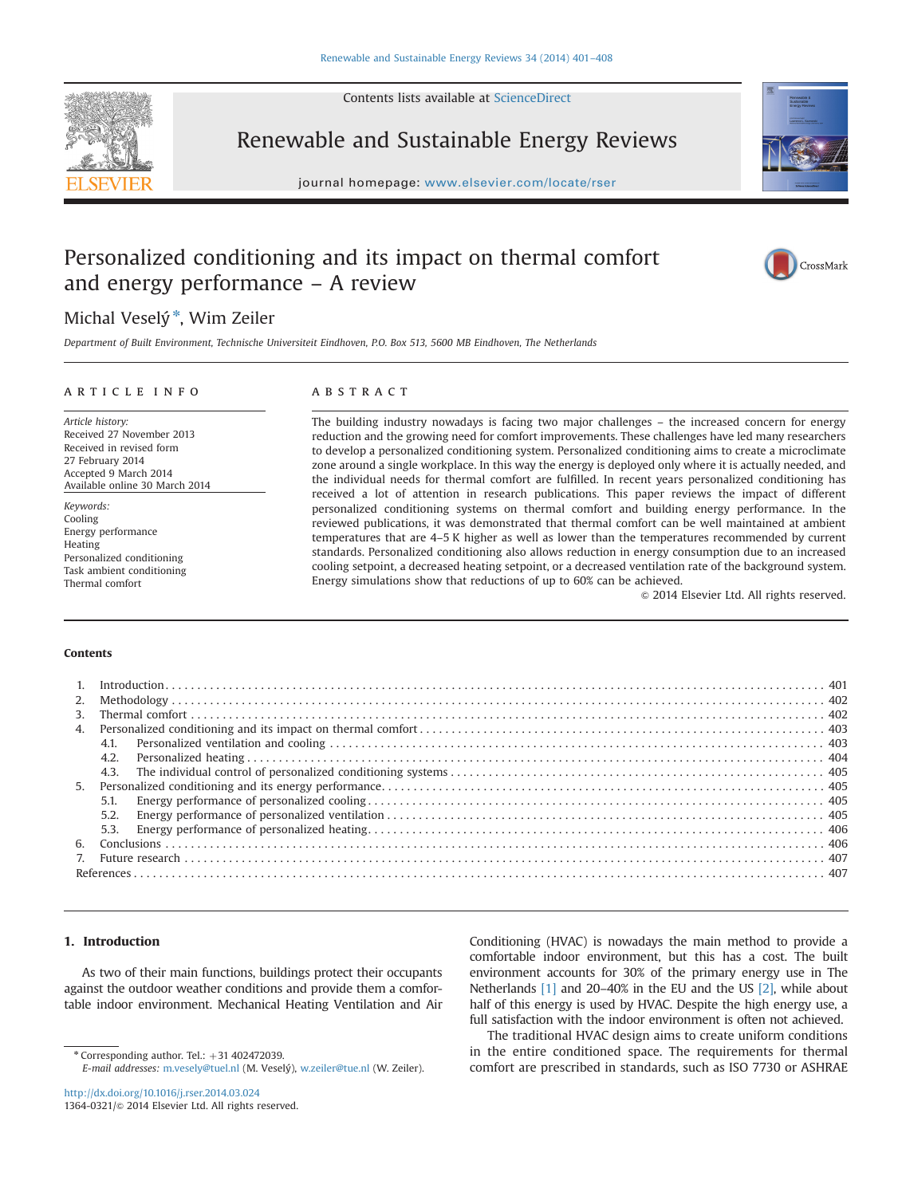Contents lists available at [ScienceDirect](www.sciencedirect.com/science/journal/13640321)





# Renewable and Sustainable Energy Reviews

journal homepage: <www.elsevier.com/locate/rser>vier.com/locate/rservice/rservice/rservice/rservice/rservice/rservice/rservice/rservice/rservice/rservice/rservice/rservice/rservice/rservice/rservice/rservice/rservice/rservi

# Personalized conditioning and its impact on thermal comfort and energy performance – A review



# Michal Veselý<sup>\*</sup>, Wim Zeiler

Department of Built Environment, Technische Universiteit Eindhoven, P.O. Box 513, 5600 MB Eindhoven, The Netherlands

#### article info

Article history: Received 27 November 2013 Received in revised form 27 February 2014 Accepted 9 March 2014 Available online 30 March 2014

Keywords: Cooling Energy performance Heating Personalized conditioning Task ambient conditioning Thermal comfort

# ABSTRACT

The building industry nowadays is facing two major challenges – the increased concern for energy reduction and the growing need for comfort improvements. These challenges have led many researchers to develop a personalized conditioning system. Personalized conditioning aims to create a microclimate zone around a single workplace. In this way the energy is deployed only where it is actually needed, and the individual needs for thermal comfort are fulfilled. In recent years personalized conditioning has received a lot of attention in research publications. This paper reviews the impact of different personalized conditioning systems on thermal comfort and building energy performance. In the reviewed publications, it was demonstrated that thermal comfort can be well maintained at ambient temperatures that are 4–5 K higher as well as lower than the temperatures recommended by current standards. Personalized conditioning also allows reduction in energy consumption due to an increased cooling setpoint, a decreased heating setpoint, or a decreased ventilation rate of the background system. Energy simulations show that reductions of up to 60% can be achieved.

 $\odot$  2014 Elsevier Ltd. All rights reserved.

#### Contents

|  | 5.1. |  |  |  |  |  |  |
|--|------|--|--|--|--|--|--|
|  |      |  |  |  |  |  |  |
|  |      |  |  |  |  |  |  |
|  |      |  |  |  |  |  |  |
|  |      |  |  |  |  |  |  |
|  |      |  |  |  |  |  |  |
|  |      |  |  |  |  |  |  |

# 1. Introduction

As two of their main functions, buildings protect their occupants against the outdoor weather conditions and provide them a comfortable indoor environment. Mechanical Heating Ventilation and Air

 $*$  Corresponding author. Tel.:  $+31$  402472039.

Conditioning (HVAC) is nowadays the main method to provide a comfortable indoor environment, but this has a cost. The built environment accounts for 30% of the primary energy use in The Netherlands [\[1\]](#page-6-0) and 20–40% in the EU and the US [\[2\]](#page-6-0), while about half of this energy is used by HVAC. Despite the high energy use, a full satisfaction with the indoor environment is often not achieved.

The traditional HVAC design aims to create uniform conditions in the entire conditioned space. The requirements for thermal comfort are prescribed in standards, such as ISO 7730 or ASHRAE

E-mail addresses: [m.vesely@tuel.nl](mailto:m.vesely@tuel.nl) (M. Veselý), [w.zeiler@tue.nl](mailto:w.zeiler@tue.nl) (W. Zeiler).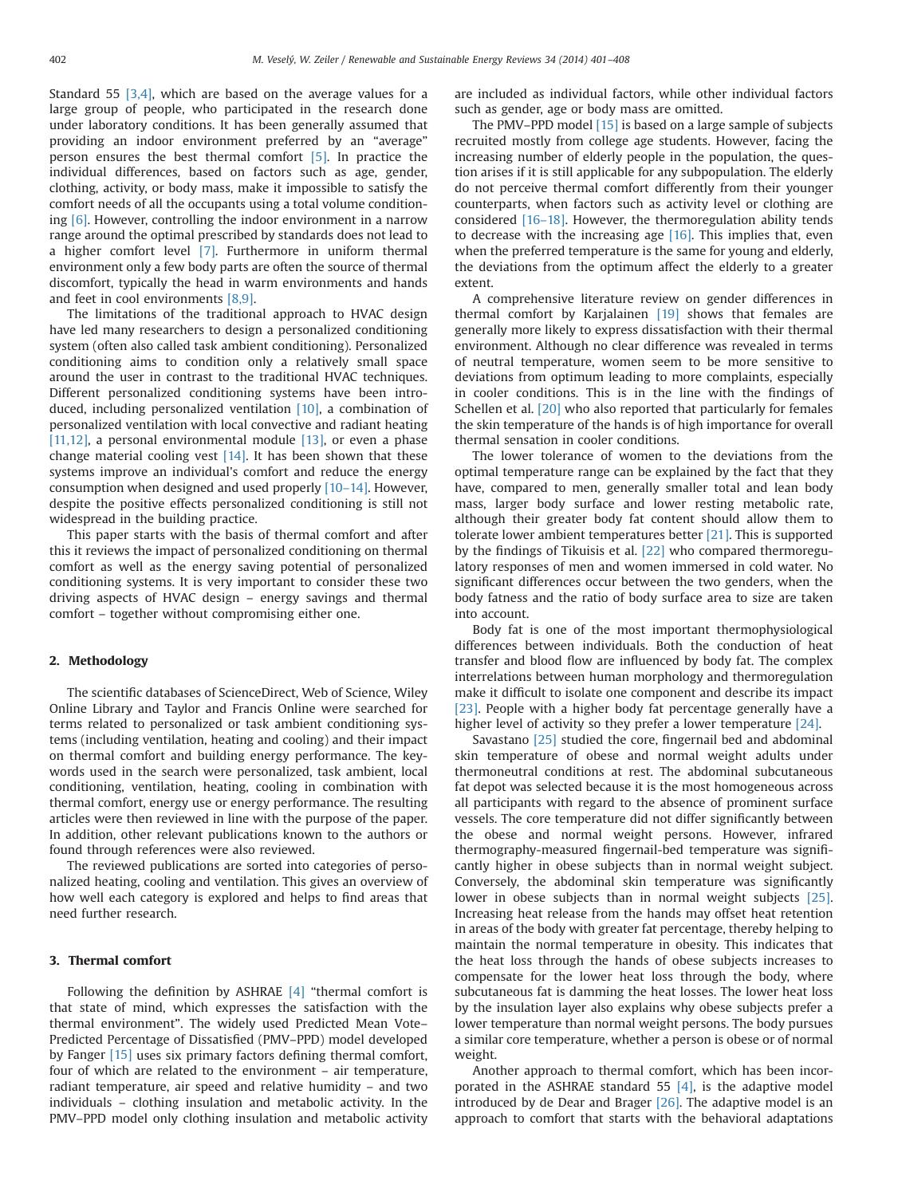Standard 55  $[3,4]$ , which are based on the average values for a large group of people, who participated in the research done under laboratory conditions. It has been generally assumed that providing an indoor environment preferred by an "average" person ensures the best thermal comfort [\[5\].](#page-6-0) In practice the individual differences, based on factors such as age, gender, clothing, activity, or body mass, make it impossible to satisfy the comfort needs of all the occupants using a total volume conditioning [\[6\].](#page-6-0) However, controlling the indoor environment in a narrow range around the optimal prescribed by standards does not lead to a higher comfort level [\[7\].](#page-6-0) Furthermore in uniform thermal environment only a few body parts are often the source of thermal discomfort, typically the head in warm environments and hands and feet in cool environments [\[8,9\]](#page-6-0).

The limitations of the traditional approach to HVAC design have led many researchers to design a personalized conditioning system (often also called task ambient conditioning). Personalized conditioning aims to condition only a relatively small space around the user in contrast to the traditional HVAC techniques. Different personalized conditioning systems have been introduced, including personalized ventilation [\[10\],](#page-6-0) a combination of personalized ventilation with local convective and radiant heating [\[11,12\]](#page-6-0), a personal environmental module  $[13]$ , or even a phase change material cooling vest  $[14]$ . It has been shown that these systems improve an individual's comfort and reduce the energy consumption when designed and used properly [10–[14\]](#page-6-0). However, despite the positive effects personalized conditioning is still not widespread in the building practice.

This paper starts with the basis of thermal comfort and after this it reviews the impact of personalized conditioning on thermal comfort as well as the energy saving potential of personalized conditioning systems. It is very important to consider these two driving aspects of HVAC design – energy savings and thermal comfort – together without compromising either one.

#### 2. Methodology

The scientific databases of ScienceDirect, Web of Science, Wiley Online Library and Taylor and Francis Online were searched for terms related to personalized or task ambient conditioning systems (including ventilation, heating and cooling) and their impact on thermal comfort and building energy performance. The keywords used in the search were personalized, task ambient, local conditioning, ventilation, heating, cooling in combination with thermal comfort, energy use or energy performance. The resulting articles were then reviewed in line with the purpose of the paper. In addition, other relevant publications known to the authors or found through references were also reviewed.

The reviewed publications are sorted into categories of personalized heating, cooling and ventilation. This gives an overview of how well each category is explored and helps to find areas that need further research.

#### 3. Thermal comfort

Following the definition by ASHRAE  $[4]$  "thermal comfort is that state of mind, which expresses the satisfaction with the thermal environment". The widely used Predicted Mean Vote– Predicted Percentage of Dissatisfied (PMV–PPD) model developed by Fanger [\[15\]](#page-6-0) uses six primary factors defining thermal comfort, four of which are related to the environment – air temperature, radiant temperature, air speed and relative humidity – and two individuals – clothing insulation and metabolic activity. In the PMV–PPD model only clothing insulation and metabolic activity are included as individual factors, while other individual factors such as gender, age or body mass are omitted.

The PMV–PPD model [\[15\]](#page-6-0) is based on a large sample of subjects recruited mostly from college age students. However, facing the increasing number of elderly people in the population, the question arises if it is still applicable for any subpopulation. The elderly do not perceive thermal comfort differently from their younger counterparts, when factors such as activity level or clothing are considered [\[16](#page-6-0)–18]. However, the thermoregulation ability tends to decrease with the increasing age  $[16]$ . This implies that, even when the preferred temperature is the same for young and elderly, the deviations from the optimum affect the elderly to a greater extent.

A comprehensive literature review on gender differences in thermal comfort by Karjalainen <a>[\[19\]](#page-6-0)</a> shows that females are generally more likely to express dissatisfaction with their thermal environment. Although no clear difference was revealed in terms of neutral temperature, women seem to be more sensitive to deviations from optimum leading to more complaints, especially in cooler conditions. This is in the line with the findings of Schellen et al. [\[20\]](#page-6-0) who also reported that particularly for females the skin temperature of the hands is of high importance for overall thermal sensation in cooler conditions.

The lower tolerance of women to the deviations from the optimal temperature range can be explained by the fact that they have, compared to men, generally smaller total and lean body mass, larger body surface and lower resting metabolic rate, although their greater body fat content should allow them to tolerate lower ambient temperatures better [\[21\].](#page-6-0) This is supported by the findings of Tikuisis et al. [\[22\]](#page-6-0) who compared thermoregulatory responses of men and women immersed in cold water. No significant differences occur between the two genders, when the body fatness and the ratio of body surface area to size are taken into account.

Body fat is one of the most important thermophysiological differences between individuals. Both the conduction of heat transfer and blood flow are influenced by body fat. The complex interrelations between human morphology and thermoregulation make it difficult to isolate one component and describe its impact [\[23\]](#page-6-0). People with a higher body fat percentage generally have a higher level of activity so they prefer a lower temperature [\[24\]](#page-6-0).

Savastano [\[25\]](#page-6-0) studied the core, fingernail bed and abdominal skin temperature of obese and normal weight adults under thermoneutral conditions at rest. The abdominal subcutaneous fat depot was selected because it is the most homogeneous across all participants with regard to the absence of prominent surface vessels. The core temperature did not differ significantly between the obese and normal weight persons. However, infrared thermography-measured fingernail-bed temperature was significantly higher in obese subjects than in normal weight subject. Conversely, the abdominal skin temperature was significantly lower in obese subjects than in normal weight subjects [\[25\].](#page-6-0) Increasing heat release from the hands may offset heat retention in areas of the body with greater fat percentage, thereby helping to maintain the normal temperature in obesity. This indicates that the heat loss through the hands of obese subjects increases to compensate for the lower heat loss through the body, where subcutaneous fat is damming the heat losses. The lower heat loss by the insulation layer also explains why obese subjects prefer a lower temperature than normal weight persons. The body pursues a similar core temperature, whether a person is obese or of normal weight.

Another approach to thermal comfort, which has been incorporated in the ASHRAE standard 55  $[4]$ , is the adaptive model introduced by de Dear and Brager [\[26\].](#page-6-0) The adaptive model is an approach to comfort that starts with the behavioral adaptations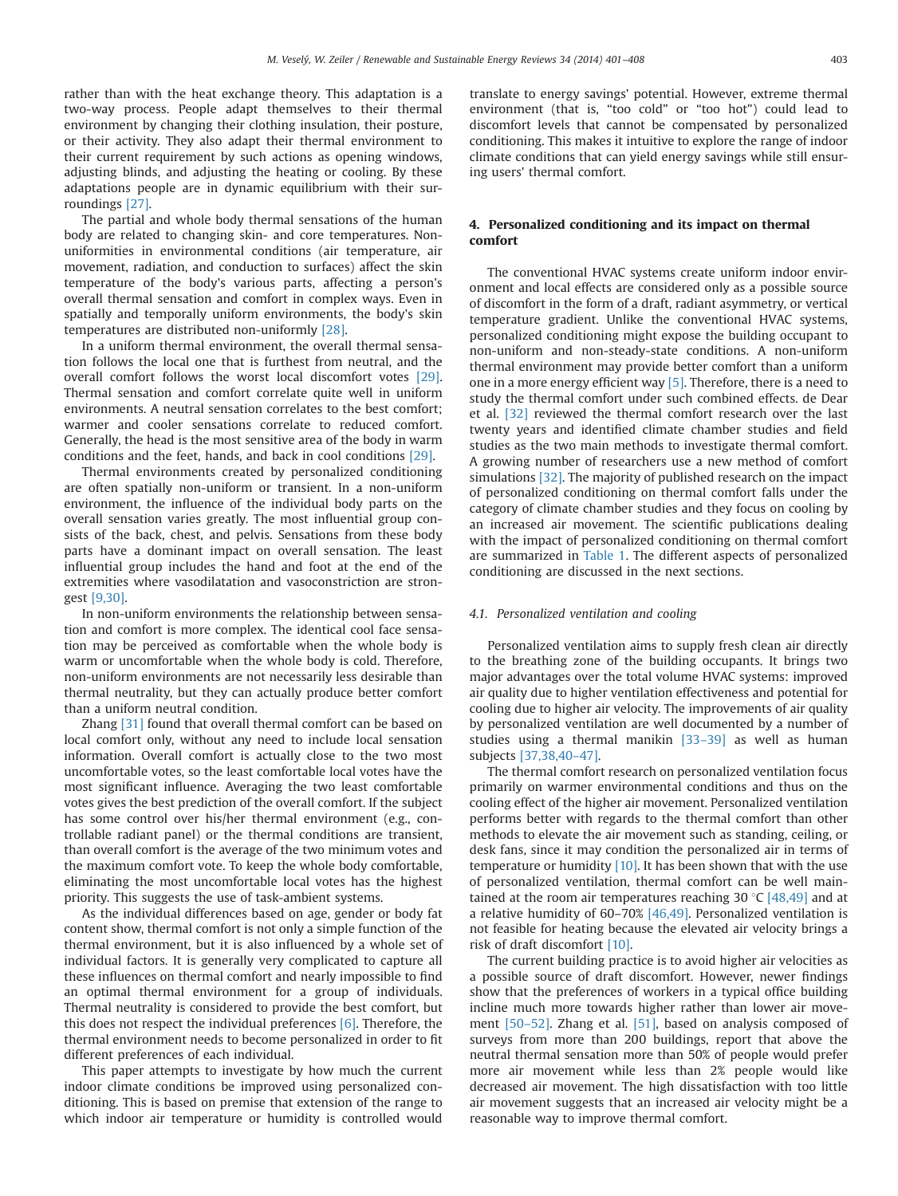rather than with the heat exchange theory. This adaptation is a two-way process. People adapt themselves to their thermal environment by changing their clothing insulation, their posture, or their activity. They also adapt their thermal environment to their current requirement by such actions as opening windows, adjusting blinds, and adjusting the heating or cooling. By these adaptations people are in dynamic equilibrium with their surroundings [\[27\].](#page-6-0)

The partial and whole body thermal sensations of the human body are related to changing skin- and core temperatures. Nonuniformities in environmental conditions (air temperature, air movement, radiation, and conduction to surfaces) affect the skin temperature of the body's various parts, affecting a person's overall thermal sensation and comfort in complex ways. Even in spatially and temporally uniform environments, the body's skin temperatures are distributed non-uniformly [\[28\].](#page-6-0)

In a uniform thermal environment, the overall thermal sensation follows the local one that is furthest from neutral, and the overall comfort follows the worst local discomfort votes [\[29\].](#page-6-0) Thermal sensation and comfort correlate quite well in uniform environments. A neutral sensation correlates to the best comfort; warmer and cooler sensations correlate to reduced comfort. Generally, the head is the most sensitive area of the body in warm conditions and the feet, hands, and back in cool conditions [\[29\]](#page-6-0).

Thermal environments created by personalized conditioning are often spatially non-uniform or transient. In a non-uniform environment, the influence of the individual body parts on the overall sensation varies greatly. The most influential group consists of the back, chest, and pelvis. Sensations from these body parts have a dominant impact on overall sensation. The least influential group includes the hand and foot at the end of the extremities where vasodilatation and vasoconstriction are strongest [\[9,30\].](#page-6-0)

In non-uniform environments the relationship between sensation and comfort is more complex. The identical cool face sensation may be perceived as comfortable when the whole body is warm or uncomfortable when the whole body is cold. Therefore, non-uniform environments are not necessarily less desirable than thermal neutrality, but they can actually produce better comfort than a uniform neutral condition.

Zhang [\[31\]](#page-6-0) found that overall thermal comfort can be based on local comfort only, without any need to include local sensation information. Overall comfort is actually close to the two most uncomfortable votes, so the least comfortable local votes have the most significant influence. Averaging the two least comfortable votes gives the best prediction of the overall comfort. If the subject has some control over his/her thermal environment (e.g., controllable radiant panel) or the thermal conditions are transient, than overall comfort is the average of the two minimum votes and the maximum comfort vote. To keep the whole body comfortable, eliminating the most uncomfortable local votes has the highest priority. This suggests the use of task-ambient systems.

As the individual differences based on age, gender or body fat content show, thermal comfort is not only a simple function of the thermal environment, but it is also influenced by a whole set of individual factors. It is generally very complicated to capture all these influences on thermal comfort and nearly impossible to find an optimal thermal environment for a group of individuals. Thermal neutrality is considered to provide the best comfort, but this does not respect the individual preferences  $[6]$ . Therefore, the thermal environment needs to become personalized in order to fit different preferences of each individual.

This paper attempts to investigate by how much the current indoor climate conditions be improved using personalized conditioning. This is based on premise that extension of the range to which indoor air temperature or humidity is controlled would translate to energy savings' potential. However, extreme thermal environment (that is, "too cold" or "too hot") could lead to discomfort levels that cannot be compensated by personalized conditioning. This makes it intuitive to explore the range of indoor climate conditions that can yield energy savings while still ensuring users' thermal comfort.

## 4. Personalized conditioning and its impact on thermal comfort

The conventional HVAC systems create uniform indoor environment and local effects are considered only as a possible source of discomfort in the form of a draft, radiant asymmetry, or vertical temperature gradient. Unlike the conventional HVAC systems, personalized conditioning might expose the building occupant to non-uniform and non-steady-state conditions. A non-uniform thermal environment may provide better comfort than a uniform one in a more energy efficient way [\[5\].](#page-6-0) Therefore, there is a need to study the thermal comfort under such combined effects. de Dear et al. [\[32\]](#page-6-0) reviewed the thermal comfort research over the last twenty years and identified climate chamber studies and field studies as the two main methods to investigate thermal comfort. A growing number of researchers use a new method of comfort simulations [\[32\].](#page-6-0) The majority of published research on the impact of personalized conditioning on thermal comfort falls under the category of climate chamber studies and they focus on cooling by an increased air movement. The scientific publications dealing with the impact of personalized conditioning on thermal comfort are summarized in [Table 1](#page-3-0). The different aspects of personalized conditioning are discussed in the next sections.

### 4.1. Personalized ventilation and cooling

Personalized ventilation aims to supply fresh clean air directly to the breathing zone of the building occupants. It brings two major advantages over the total volume HVAC systems: improved air quality due to higher ventilation effectiveness and potential for cooling due to higher air velocity. The improvements of air quality by personalized ventilation are well documented by a number of studies using a thermal manikin [33–[39\]](#page-7-0) as well as human subjects [\[37,38,40](#page-7-0)–47].

The thermal comfort research on personalized ventilation focus primarily on warmer environmental conditions and thus on the cooling effect of the higher air movement. Personalized ventilation performs better with regards to the thermal comfort than other methods to elevate the air movement such as standing, ceiling, or desk fans, since it may condition the personalized air in terms of temperature or humidity  $[10]$ . It has been shown that with the use of personalized ventilation, thermal comfort can be well maintained at the room air temperatures reaching 30  $\degree$ C [\[48,49\]](#page-7-0) and at a relative humidity of 60–70% [\[46,49\].](#page-7-0) Personalized ventilation is not feasible for heating because the elevated air velocity brings a risk of draft discomfort [\[10\].](#page-6-0)

The current building practice is to avoid higher air velocities as a possible source of draft discomfort. However, newer findings show that the preferences of workers in a typical office building incline much more towards higher rather than lower air movement [50–[52\].](#page-7-0) Zhang et al. [\[51\]](#page-7-0), based on analysis composed of surveys from more than 200 buildings, report that above the neutral thermal sensation more than 50% of people would prefer more air movement while less than 2% people would like decreased air movement. The high dissatisfaction with too little air movement suggests that an increased air velocity might be a reasonable way to improve thermal comfort.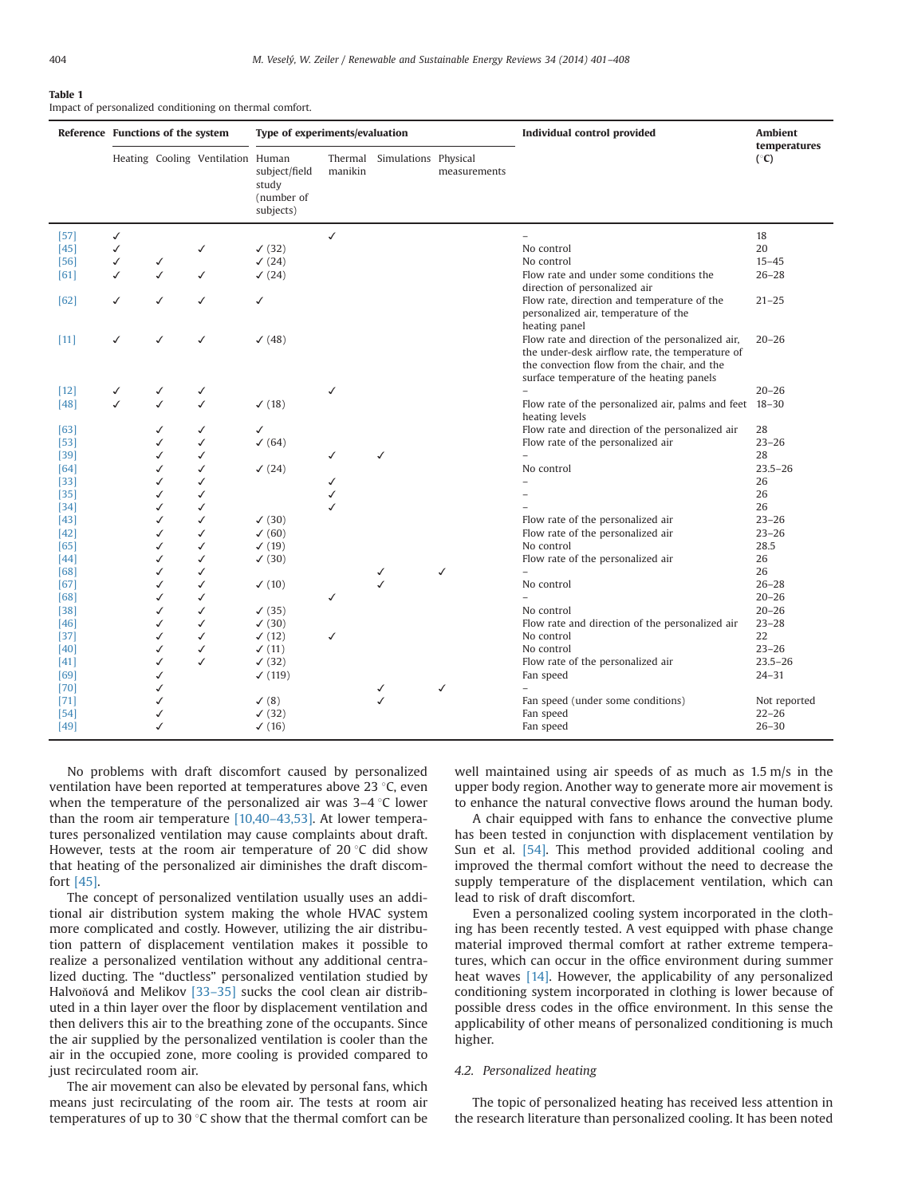#### <span id="page-3-0"></span>Table 1 Impact of personalized conditioning on thermal comfort.

| Reference Functions of the system |              |              | Type of experiments/evaluation    |                                                   |              |                              | Individual control provided | <b>Ambient</b>                                          |                      |
|-----------------------------------|--------------|--------------|-----------------------------------|---------------------------------------------------|--------------|------------------------------|-----------------------------|---------------------------------------------------------|----------------------|
|                                   |              |              | Heating Cooling Ventilation Human | subject/field<br>study<br>(number of<br>subjects) | manikin      | Thermal Simulations Physical | measurements                |                                                         | temperatures<br>(°C) |
| $[57]$                            | $\checkmark$ |              |                                   |                                                   | $\checkmark$ |                              |                             | $\equiv$                                                | 18                   |
| [45]                              | $\checkmark$ |              | ✓                                 | $\sqrt{(32)}$                                     |              |                              |                             | No control                                              | 20                   |
| [56]                              | ✓            | ✓            |                                   | (24)                                              |              |                              |                             | No control                                              | $15 - 45$            |
| [61]                              | ✓            | $\checkmark$ | ✓                                 | $\checkmark$ (24)                                 |              |                              |                             | Flow rate and under some conditions the                 | $26 - 28$            |
|                                   |              |              |                                   |                                                   |              |                              |                             | direction of personalized air                           |                      |
| [62]                              | ✓            | ✓            | ✓                                 | ✓                                                 |              |                              |                             | Flow rate, direction and temperature of the             | $21 - 25$            |
|                                   |              |              |                                   |                                                   |              |                              |                             | personalized air, temperature of the                    |                      |
|                                   |              |              |                                   |                                                   |              |                              |                             | heating panel                                           |                      |
| $[11]$                            | ✓            | $\checkmark$ | ✓                                 | $\sqrt{(48)}$                                     |              |                              |                             | Flow rate and direction of the personalized air,        | $20 - 26$            |
|                                   |              |              |                                   |                                                   |              |                              |                             | the under-desk airflow rate, the temperature of         |                      |
|                                   |              |              |                                   |                                                   |              |                              |                             | the convection flow from the chair, and the             |                      |
|                                   |              |              |                                   |                                                   |              |                              |                             | surface temperature of the heating panels               |                      |
| $[12]$                            | ✓            | ✓            | $\checkmark$                      |                                                   | ✓            |                              |                             | $\equiv$                                                | $20 - 26$            |
| $[48]$                            | $\checkmark$ | $\checkmark$ | $\checkmark$                      | $\checkmark$ (18)                                 |              |                              |                             | Flow rate of the personalized air, palms and feet 18-30 |                      |
|                                   |              |              |                                   |                                                   |              |                              |                             | heating levels                                          |                      |
| [63]                              |              | ✓            | ✓                                 | ✓                                                 |              |                              |                             | Flow rate and direction of the personalized air         | 28                   |
| $[53]$                            |              | J            | ✓                                 | $\checkmark$ (64)                                 |              |                              |                             | Flow rate of the personalized air                       | $23 - 26$            |
| $[39]$                            |              | ✓            | ✓                                 |                                                   | ✓            |                              |                             | $\overline{\phantom{a}}$                                | 28                   |
|                                   |              |              |                                   |                                                   |              | ✓                            |                             | No control                                              | $23.5 - 26$          |
| [64]                              |              | ✓            | ✓                                 | $\checkmark$ (24)                                 |              |                              |                             |                                                         |                      |
| $[33]$                            |              |              | ✓                                 |                                                   | ✓            |                              |                             | $\overline{a}$                                          | 26                   |
| $[35]$                            |              |              | ✓                                 |                                                   | ✓            |                              |                             |                                                         | 26                   |
| [34]                              |              | ✓            | ✓                                 |                                                   | ✓            |                              |                             |                                                         | 26                   |
| $[43]$                            |              | ✓            | ✓                                 | $\sqrt{(30)}$                                     |              |                              |                             | Flow rate of the personalized air                       | $23 - 26$            |
| $[42]$                            |              | ✓            | ✓                                 | $\sqrt(60)$                                       |              |                              |                             | Flow rate of the personalized air                       | $23 - 26$            |
| [65]                              |              | ✓            | ✓                                 | $\checkmark$ (19)                                 |              |                              |                             | No control                                              | 28.5                 |
| [44]                              |              | ✓            | ✓                                 | $\sqrt{(30)}$                                     |              |                              |                             | Flow rate of the personalized air                       | 26                   |
| [68]                              |              | ✓            | ✓                                 |                                                   |              | ✓                            | ✓                           | $\overline{a}$                                          | 26                   |
| [67]                              |              | ✓            | ✓                                 | $\checkmark$ (10)                                 |              | ✓                            |                             | No control                                              | $26 - 28$            |
| [68]                              |              | ✓            | ✓                                 |                                                   | $\checkmark$ |                              |                             |                                                         | $20 - 26$            |
| $[38]$                            |              | ✓            | ✓                                 | $\checkmark$ (35)                                 |              |                              |                             | No control                                              | $20 - 26$            |
| [46]                              |              | ✓            | ✓                                 | $\sqrt{(30)}$                                     |              |                              |                             | Flow rate and direction of the personalized air         | $23 - 28$            |
| $[37]$                            |              | ✓            | ✓                                 | $\checkmark$ (12)                                 | ✓            |                              |                             | No control                                              | 22                   |
| [40]                              |              | ✓            | ✓                                 | $\checkmark$ (11)                                 |              |                              |                             | No control                                              | $23 - 26$            |
| [41]                              |              | ✓            | $\checkmark$                      | $\checkmark$ (32)                                 |              |                              |                             | Flow rate of the personalized air                       | $23.5 - 26$          |
| [69]                              |              | ✓            |                                   | (119)                                             |              |                              |                             | Fan speed                                               | $24 - 31$            |
| $[70]$                            |              | ✓            |                                   |                                                   |              | ✓                            | ✓                           |                                                         |                      |
| $[71]$                            |              | ✓            |                                   | $\checkmark$ (8)                                  |              | J                            |                             | Fan speed (under some conditions)                       | Not reported         |
| $[54]$                            |              | ✓            |                                   | $\checkmark$ (32)                                 |              |                              |                             | Fan speed                                               | $22 - 26$            |
| [49]                              |              | ✓            |                                   | $\checkmark$ (16)                                 |              |                              |                             | Fan speed                                               | $26 - 30$            |
|                                   |              |              |                                   |                                                   |              |                              |                             |                                                         |                      |

No problems with draft discomfort caused by personalized ventilation have been reported at temperatures above 23 °C, even when the temperature of the personalized air was  $3-4$  °C lower than the room air temperature [10,40–[43,53\]](#page-7-0). At lower temperatures personalized ventilation may cause complaints about draft. However, tests at the room air temperature of 20 $\degree$ C did show that heating of the personalized air diminishes the draft discomfort [\[45\].](#page-7-0)

The concept of personalized ventilation usually uses an additional air distribution system making the whole HVAC system more complicated and costly. However, utilizing the air distribution pattern of displacement ventilation makes it possible to realize a personalized ventilation without any additional centralized ducting. The "ductless" personalized ventilation studied by Halvoňová and Melikov [\[33](#page-6-0)–35] sucks the cool clean air distributed in a thin layer over the floor by displacement ventilation and then delivers this air to the breathing zone of the occupants. Since the air supplied by the personalized ventilation is cooler than the air in the occupied zone, more cooling is provided compared to just recirculated room air.

The air movement can also be elevated by personal fans, which means just recirculating of the room air. The tests at room air temperatures of up to 30 $\degree$ C show that the thermal comfort can be well maintained using air speeds of as much as 1.5 m/s in the upper body region. Another way to generate more air movement is to enhance the natural convective flows around the human body.

A chair equipped with fans to enhance the convective plume has been tested in conjunction with displacement ventilation by Sun et al. [\[54\]](#page-7-0). This method provided additional cooling and improved the thermal comfort without the need to decrease the supply temperature of the displacement ventilation, which can lead to risk of draft discomfort.

Even a personalized cooling system incorporated in the clothing has been recently tested. A vest equipped with phase change material improved thermal comfort at rather extreme temperatures, which can occur in the office environment during summer heat waves [\[14\]](#page-6-0). However, the applicability of any personalized conditioning system incorporated in clothing is lower because of possible dress codes in the office environment. In this sense the applicability of other means of personalized conditioning is much higher.

#### 4.2. Personalized heating

The topic of personalized heating has received less attention in the research literature than personalized cooling. It has been noted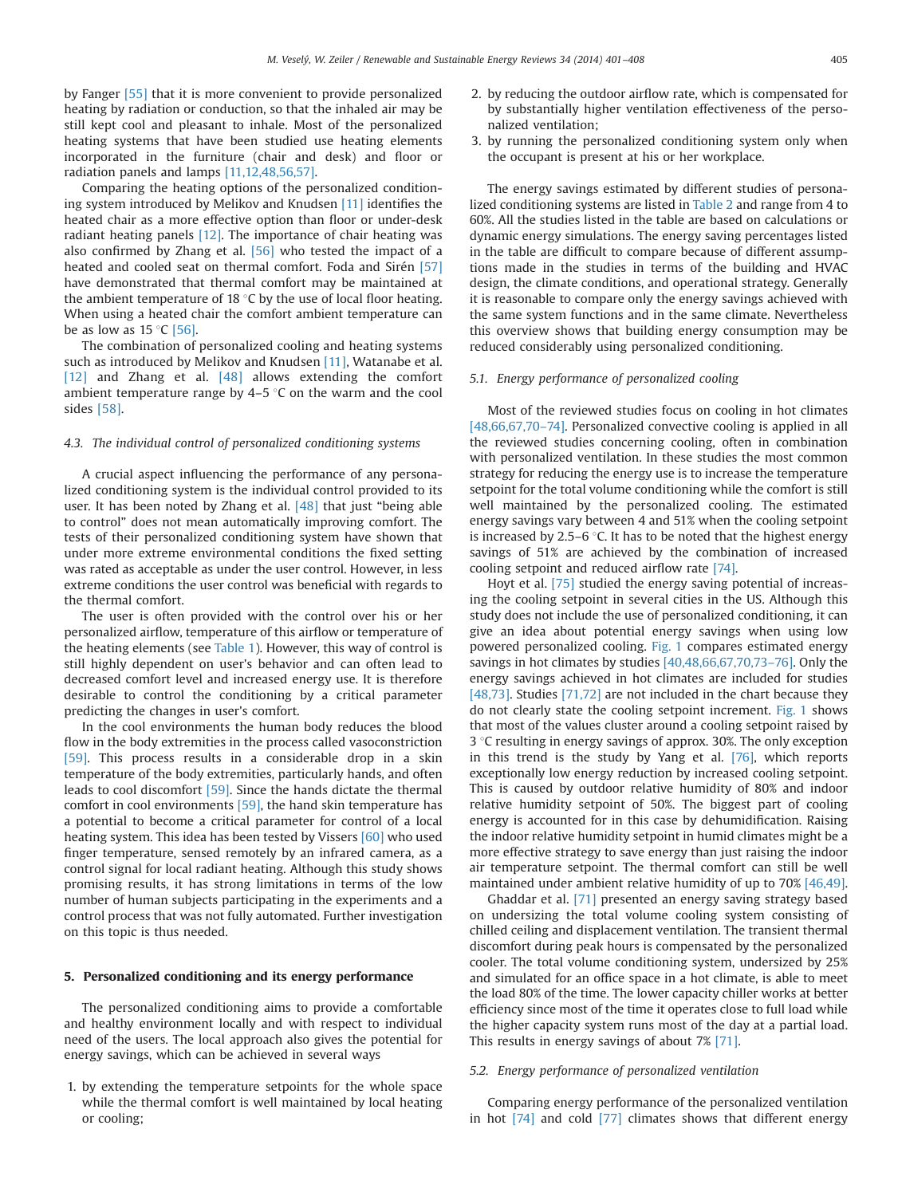by Fanger [\[55\]](#page-7-0) that it is more convenient to provide personalized heating by radiation or conduction, so that the inhaled air may be still kept cool and pleasant to inhale. Most of the personalized heating systems that have been studied use heating elements incorporated in the furniture (chair and desk) and floor or radiation panels and lamps [\[11,12,48,56,57\].](#page-7-0)

Comparing the heating options of the personalized conditioning system introduced by Melikov and Knudsen [\[11\]](#page-6-0) identifies the heated chair as a more effective option than floor or under-desk radiant heating panels [\[12\].](#page-6-0) The importance of chair heating was also confirmed by Zhang et al. [\[56\]](#page-7-0) who tested the impact of a heated and cooled seat on thermal comfort. Foda and Sirén [\[57\]](#page-7-0) have demonstrated that thermal comfort may be maintained at the ambient temperature of 18  $\degree$ C by the use of local floor heating. When using a heated chair the comfort ambient temperature can be as low as  $15 \degree C$  [\[56\].](#page-7-0)

The combination of personalized cooling and heating systems such as introduced by Melikov and Knudsen [\[11\],](#page-6-0) Watanabe et al. [\[12\]](#page-6-0) and Zhang et al. [\[48\]](#page-7-0) allows extending the comfort ambient temperature range by  $4-5$  °C on the warm and the cool sides [\[58\]](#page-7-0).

#### 4.3. The individual control of personalized conditioning systems

A crucial aspect influencing the performance of any personalized conditioning system is the individual control provided to its user. It has been noted by Zhang et al. [\[48\]](#page-7-0) that just "being able to control" does not mean automatically improving comfort. The tests of their personalized conditioning system have shown that under more extreme environmental conditions the fixed setting was rated as acceptable as under the user control. However, in less extreme conditions the user control was beneficial with regards to the thermal comfort.

The user is often provided with the control over his or her personalized airflow, temperature of this airflow or temperature of the heating elements (see [Table 1](#page-3-0)). However, this way of control is still highly dependent on user's behavior and can often lead to decreased comfort level and increased energy use. It is therefore desirable to control the conditioning by a critical parameter predicting the changes in user's comfort.

In the cool environments the human body reduces the blood flow in the body extremities in the process called vasoconstriction [\[59\].](#page-7-0) This process results in a considerable drop in a skin temperature of the body extremities, particularly hands, and often leads to cool discomfort [\[59\]](#page-7-0). Since the hands dictate the thermal comfort in cool environments [\[59\],](#page-7-0) the hand skin temperature has a potential to become a critical parameter for control of a local heating system. This idea has been tested by Vissers [\[60\]](#page-7-0) who used finger temperature, sensed remotely by an infrared camera, as a control signal for local radiant heating. Although this study shows promising results, it has strong limitations in terms of the low number of human subjects participating in the experiments and a control process that was not fully automated. Further investigation on this topic is thus needed.

#### 5. Personalized conditioning and its energy performance

The personalized conditioning aims to provide a comfortable and healthy environment locally and with respect to individual need of the users. The local approach also gives the potential for energy savings, which can be achieved in several ways

1. by extending the temperature setpoints for the whole space while the thermal comfort is well maintained by local heating or cooling;

- 2. by reducing the outdoor airflow rate, which is compensated for by substantially higher ventilation effectiveness of the personalized ventilation;
- 3. by running the personalized conditioning system only when the occupant is present at his or her workplace.

The energy savings estimated by different studies of personalized conditioning systems are listed in [Table 2](#page-5-0) and range from 4 to 60%. All the studies listed in the table are based on calculations or dynamic energy simulations. The energy saving percentages listed in the table are difficult to compare because of different assumptions made in the studies in terms of the building and HVAC design, the climate conditions, and operational strategy. Generally it is reasonable to compare only the energy savings achieved with the same system functions and in the same climate. Nevertheless this overview shows that building energy consumption may be reduced considerably using personalized conditioning.

#### 5.1. Energy performance of personalized cooling

Most of the reviewed studies focus on cooling in hot climates [\[48,66,67,70](#page-7-0)–74]. Personalized convective cooling is applied in all the reviewed studies concerning cooling, often in combination with personalized ventilation. In these studies the most common strategy for reducing the energy use is to increase the temperature setpoint for the total volume conditioning while the comfort is still well maintained by the personalized cooling. The estimated energy savings vary between 4 and 51% when the cooling setpoint is increased by 2.5–6  $\degree$ C. It has to be noted that the highest energy savings of 51% are achieved by the combination of increased cooling setpoint and reduced airflow rate [\[74\].](#page-7-0)

Hoyt et al. [\[75\]](#page-7-0) studied the energy saving potential of increasing the cooling setpoint in several cities in the US. Although this study does not include the use of personalized conditioning, it can give an idea about potential energy savings when using low powered personalized cooling. [Fig. 1](#page-5-0) compares estimated energy savings in hot climates by studies [\[40,48,66,67,70,73](#page-7-0)–76]. Only the energy savings achieved in hot climates are included for studies [\[48,73\]](#page-7-0). Studies [\[71,72\]](#page-7-0) are not included in the chart because they do not clearly state the cooling setpoint increment. [Fig. 1](#page-5-0) shows that most of the values cluster around a cooling setpoint raised by  $3^{\circ}$ C resulting in energy savings of approx. 30%. The only exception in this trend is the study by Yang et al. [\[76\]](#page-7-0), which reports exceptionally low energy reduction by increased cooling setpoint. This is caused by outdoor relative humidity of 80% and indoor relative humidity setpoint of 50%. The biggest part of cooling energy is accounted for in this case by dehumidification. Raising the indoor relative humidity setpoint in humid climates might be a more effective strategy to save energy than just raising the indoor air temperature setpoint. The thermal comfort can still be well maintained under ambient relative humidity of up to 70% [\[46,49\].](#page-7-0)

Ghaddar et al. [\[71\]](#page-7-0) presented an energy saving strategy based on undersizing the total volume cooling system consisting of chilled ceiling and displacement ventilation. The transient thermal discomfort during peak hours is compensated by the personalized cooler. The total volume conditioning system, undersized by 25% and simulated for an office space in a hot climate, is able to meet the load 80% of the time. The lower capacity chiller works at better efficiency since most of the time it operates close to full load while the higher capacity system runs most of the day at a partial load. This results in energy savings of about 7% [\[71\].](#page-7-0)

#### 5.2. Energy performance of personalized ventilation

Comparing energy performance of the personalized ventilation in hot [\[74\]](#page-7-0) and cold [\[77\]](#page-7-0) climates shows that different energy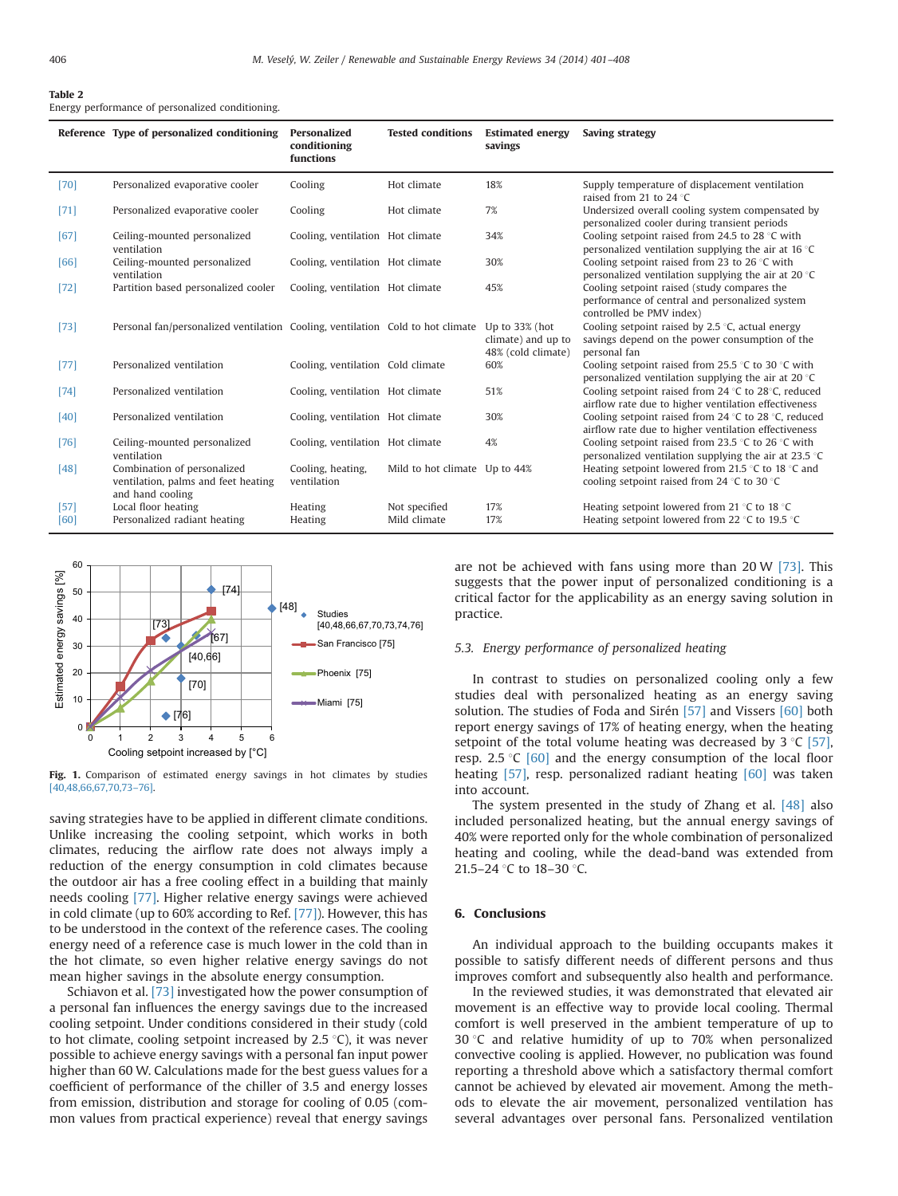#### <span id="page-5-0"></span>Table 2 Energy performance of personalized conditioning.

|        | Reference Type of personalized conditioning                                            | <b>Personalized</b><br>conditioning<br>functions | <b>Tested conditions</b>      | <b>Estimated energy</b><br>savings                         | Saving strategy                                                                                                                      |
|--------|----------------------------------------------------------------------------------------|--------------------------------------------------|-------------------------------|------------------------------------------------------------|--------------------------------------------------------------------------------------------------------------------------------------|
| $[70]$ | Personalized evaporative cooler                                                        | Cooling                                          | Hot climate                   | 18%                                                        | Supply temperature of displacement ventilation<br>raised from 21 to 24 $^{\circ}$ C                                                  |
| $[71]$ | Personalized evaporative cooler                                                        | Cooling                                          | Hot climate                   | 7%                                                         | Undersized overall cooling system compensated by<br>personalized cooler during transient periods                                     |
| $[67]$ | Ceiling-mounted personalized<br>ventilation                                            | Cooling, ventilation Hot climate                 |                               | 34%                                                        | Cooling setpoint raised from 24.5 to 28 $\degree$ C with<br>personalized ventilation supplying the air at $16^{\circ}$ C             |
| [66]   | Ceiling-mounted personalized<br>ventilation                                            | Cooling, ventilation Hot climate                 |                               | 30%                                                        | Cooling setpoint raised from 23 to 26 $\degree$ C with<br>personalized ventilation supplying the air at 20 °C                        |
| $[72]$ | Partition based personalized cooler                                                    | Cooling, ventilation Hot climate                 |                               | 45%                                                        | Cooling setpoint raised (study compares the<br>performance of central and personalized system<br>controlled be PMV index)            |
| $[73]$ | Personal fan/personalized ventilation Cooling, ventilation Cold to hot climate         |                                                  |                               | Up to 33% (hot<br>climate) and up to<br>48% (cold climate) | Cooling setpoint raised by $2.5$ °C, actual energy<br>savings depend on the power consumption of the<br>personal fan                 |
| $[77]$ | Personalized ventilation                                                               | Cooling, ventilation Cold climate                |                               | 60%                                                        | Cooling setpoint raised from 25.5 $\degree$ C to 30 $\degree$ C with<br>personalized ventilation supplying the air at 20 $\degree$ C |
| $[74]$ | Personalized ventilation                                                               | Cooling, ventilation Hot climate                 |                               | 51%                                                        | Cooling setpoint raised from 24 $\degree$ C to 28 $\degree$ C, reduced<br>airflow rate due to higher ventilation effectiveness       |
| [40]   | Personalized ventilation                                                               | Cooling, ventilation Hot climate                 |                               | 30%                                                        | Cooling setpoint raised from 24 $\degree$ C to 28 $\degree$ C, reduced<br>airflow rate due to higher ventilation effectiveness       |
| $[76]$ | Ceiling-mounted personalized<br>ventilation                                            | Cooling, ventilation Hot climate                 |                               | 4%                                                         | Cooling setpoint raised from 23.5 $\degree$ C to 26 $\degree$ C with<br>personalized ventilation supplying the air at 23.5 °C        |
| $[48]$ | Combination of personalized<br>ventilation, palms and feet heating<br>and hand cooling | Cooling, heating,<br>ventilation                 | Mild to hot climate Up to 44% |                                                            | Heating setpoint lowered from 21.5 °C to 18 °C and<br>cooling setpoint raised from 24 $\degree$ C to 30 $\degree$ C                  |
| $[57]$ | Local floor heating                                                                    | Heating                                          | Not specified                 | 17%                                                        | Heating setpoint lowered from 21 $\degree$ C to 18 $\degree$ C                                                                       |
| [60]   | Personalized radiant heating                                                           | Heating                                          | Mild climate                  | 17%                                                        | Heating setpoint lowered from 22 $\degree$ C to 19.5 $\degree$ C                                                                     |



Fig. 1. Comparison of estimated energy savings in hot climates by studies [\[40,48,66,67,70,73](#page-7-0)–76].

saving strategies have to be applied in different climate conditions. Unlike increasing the cooling setpoint, which works in both climates, reducing the airflow rate does not always imply a reduction of the energy consumption in cold climates because the outdoor air has a free cooling effect in a building that mainly needs cooling [\[77\].](#page-7-0) Higher relative energy savings were achieved in cold climate (up to 60% according to Ref. [\[77\]](#page-7-0)). However, this has to be understood in the context of the reference cases. The cooling energy need of a reference case is much lower in the cold than in the hot climate, so even higher relative energy savings do not mean higher savings in the absolute energy consumption.

Schiavon et al. [\[73\]](#page-7-0) investigated how the power consumption of a personal fan influences the energy savings due to the increased cooling setpoint. Under conditions considered in their study (cold to hot climate, cooling setpoint increased by 2.5  $\degree$ C), it was never possible to achieve energy savings with a personal fan input power higher than 60 W. Calculations made for the best guess values for a coefficient of performance of the chiller of 3.5 and energy losses from emission, distribution and storage for cooling of 0.05 (common values from practical experience) reveal that energy savings are not be achieved with fans using more than  $20 W$  [\[73\].](#page-7-0) This suggests that the power input of personalized conditioning is a critical factor for the applicability as an energy saving solution in practice.

#### 5.3. Energy performance of personalized heating

In contrast to studies on personalized cooling only a few studies deal with personalized heating as an energy saving solution. The studies of Foda and Sirén [\[57\]](#page-7-0) and Vissers [\[60\]](#page-7-0) both report energy savings of 17% of heating energy, when the heating setpoint of the total volume heating was decreased by  $3 \text{ }^{\circ}$ C [\[57\],](#page-7-0) resp. 2.5  $\degree$ C [\[60\]](#page-7-0) and the energy consumption of the local floor heating [\[57\]](#page-7-0), resp. personalized radiant heating [\[60\]](#page-7-0) was taken into account.

The system presented in the study of Zhang et al. [\[48\]](#page-7-0) also included personalized heating, but the annual energy savings of 40% were reported only for the whole combination of personalized heating and cooling, while the dead-band was extended from 21.5–24  $\degree$ C to 18–30  $\degree$ C.

### 6. Conclusions

An individual approach to the building occupants makes it possible to satisfy different needs of different persons and thus improves comfort and subsequently also health and performance.

In the reviewed studies, it was demonstrated that elevated air movement is an effective way to provide local cooling. Thermal comfort is well preserved in the ambient temperature of up to 30  $\degree$ C and relative humidity of up to 70% when personalized convective cooling is applied. However, no publication was found reporting a threshold above which a satisfactory thermal comfort cannot be achieved by elevated air movement. Among the methods to elevate the air movement, personalized ventilation has several advantages over personal fans. Personalized ventilation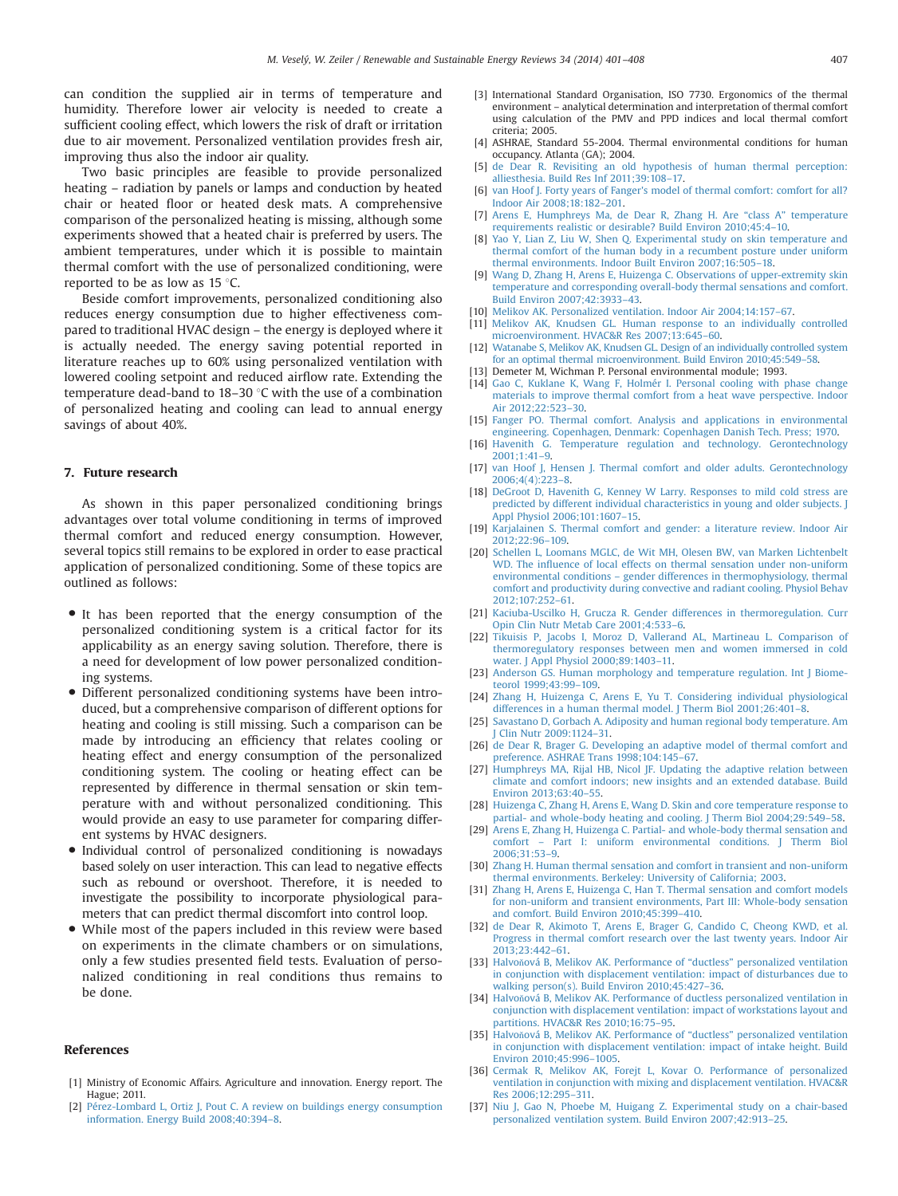<span id="page-6-0"></span>can condition the supplied air in terms of temperature and humidity. Therefore lower air velocity is needed to create a sufficient cooling effect, which lowers the risk of draft or irritation due to air movement. Personalized ventilation provides fresh air, improving thus also the indoor air quality.

Two basic principles are feasible to provide personalized heating – radiation by panels or lamps and conduction by heated chair or heated floor or heated desk mats. A comprehensive comparison of the personalized heating is missing, although some experiments showed that a heated chair is preferred by users. The ambient temperatures, under which it is possible to maintain thermal comfort with the use of personalized conditioning, were reported to be as low as  $15 \degree C$ .

Beside comfort improvements, personalized conditioning also reduces energy consumption due to higher effectiveness compared to traditional HVAC design – the energy is deployed where it is actually needed. The energy saving potential reported in literature reaches up to 60% using personalized ventilation with lowered cooling setpoint and reduced airflow rate. Extending the temperature dead-band to 18–30  $\degree$ C with the use of a combination of personalized heating and cooling can lead to annual energy savings of about 40%.

### 7. Future research

As shown in this paper personalized conditioning brings advantages over total volume conditioning in terms of improved thermal comfort and reduced energy consumption. However, several topics still remains to be explored in order to ease practical application of personalized conditioning. Some of these topics are outlined as follows:

- It has been reported that the energy consumption of the personalized conditioning system is a critical factor for its applicability as an energy saving solution. Therefore, there is a need for development of low power personalized conditioning systems.
- - Different personalized conditioning systems have been introduced, but a comprehensive comparison of different options for heating and cooling is still missing. Such a comparison can be made by introducing an efficiency that relates cooling or heating effect and energy consumption of the personalized conditioning system. The cooling or heating effect can be represented by difference in thermal sensation or skin temperature with and without personalized conditioning. This would provide an easy to use parameter for comparing different systems by HVAC designers.
- - Individual control of personalized conditioning is nowadays based solely on user interaction. This can lead to negative effects such as rebound or overshoot. Therefore, it is needed to investigate the possibility to incorporate physiological parameters that can predict thermal discomfort into control loop.
- - While most of the papers included in this review were based on experiments in the climate chambers or on simulations, only a few studies presented field tests. Evaluation of personalized conditioning in real conditions thus remains to be done.

#### References

- [1] Ministry of Economic Affairs. Agriculture and innovation. Energy report. The Hague; 2011.
- [2] [Pérez-Lombard L, Ortiz J, Pout C. A review on buildings energy consumption](http://refhub.elsevier.com/S1364-0321(14)00185-3/sbref1) [information. Energy Build 2008;40:394](http://refhub.elsevier.com/S1364-0321(14)00185-3/sbref1)–8.
- [3] International Standard Organisation, ISO 7730. Ergonomics of the thermal environment – analytical determination and interpretation of thermal comfort using calculation of the PMV and PPD indices and local thermal comfort criteria; 2005.
- [4] ASHRAE, Standard 55-2004. Thermal environmental conditions for human occupancy. Atlanta (GA); 2004.
- [5] [de Dear R. Revisiting an old hypothesis of human thermal perception:](http://refhub.elsevier.com/S1364-0321(14)00185-3/sbref2) [alliesthesia. Build Res Inf 2011;39:108](http://refhub.elsevier.com/S1364-0321(14)00185-3/sbref2)–17.
- [6] [van Hoof J. Forty years of Fanger's model of thermal comfort: comfort for all?](http://refhub.elsevier.com/S1364-0321(14)00185-3/sbref3) [Indoor Air 2008;18:182](http://refhub.elsevier.com/S1364-0321(14)00185-3/sbref3)–201.
- [7] [Arens E, Humphreys Ma, de Dear R, Zhang H. Are](http://refhub.elsevier.com/S1364-0321(14)00185-3/sbref4) "class A" temperature [requirements realistic or desirable? Build Environ 2010;45:4](http://refhub.elsevier.com/S1364-0321(14)00185-3/sbref4)–10.
- [8] [Yao Y, Lian Z, Liu W, Shen Q. Experimental study on skin temperature and](http://refhub.elsevier.com/S1364-0321(14)00185-3/sbref5) [thermal comfort of the human body in a recumbent posture under uniform](http://refhub.elsevier.com/S1364-0321(14)00185-3/sbref5) [thermal environments. Indoor Built Environ 2007;16:505](http://refhub.elsevier.com/S1364-0321(14)00185-3/sbref5)–18.
- [9] [Wang D, Zhang H, Arens E, Huizenga C. Observations of upper-extremity skin](http://refhub.elsevier.com/S1364-0321(14)00185-3/sbref6) [temperature and corresponding overall-body thermal sensations and comfort.](http://refhub.elsevier.com/S1364-0321(14)00185-3/sbref6) [Build Environ 2007;42:3933](http://refhub.elsevier.com/S1364-0321(14)00185-3/sbref6)–43.
- [10] [Melikov AK. Personalized ventilation. Indoor Air 2004;14:157](http://refhub.elsevier.com/S1364-0321(14)00185-3/sbref7)–67.
- [11] [Melikov AK, Knudsen GL. Human response to an individually controlled](http://refhub.elsevier.com/S1364-0321(14)00185-3/sbref8) [microenvironment. HVAC](http://refhub.elsevier.com/S1364-0321(14)00185-3/sbref8)&[R Res 2007;13:645](http://refhub.elsevier.com/S1364-0321(14)00185-3/sbref8)–60.
- [12] Watanabe S, Melikov AK, Knudsen GL, Design of an individually controlled system [for an optimal thermal microenvironment. Build Environ 2010;45:549](http://refhub.elsevier.com/S1364-0321(14)00185-3/sbref9)–58.
- [13] Demeter M, Wichman P. Personal environmental module; 1993.
- [14] [Gao C, Kuklane K, Wang F, Holmér I. Personal cooling with phase change](http://refhub.elsevier.com/S1364-0321(14)00185-3/sbref10) [materials to improve thermal comfort from a heat wave perspective. Indoor](http://refhub.elsevier.com/S1364-0321(14)00185-3/sbref10) [Air 2012;22:523](http://refhub.elsevier.com/S1364-0321(14)00185-3/sbref10)–30.
- [15] [Fanger PO. Thermal comfort. Analysis and applications in environmental](http://refhub.elsevier.com/S1364-0321(14)00185-3/sbref11) [engineering. Copenhagen, Denmark: Copenhagen Danish Tech. Press; 1970.](http://refhub.elsevier.com/S1364-0321(14)00185-3/sbref11)
- [16] [Havenith G. Temperature regulation and technology. Gerontechnology](http://refhub.elsevier.com/S1364-0321(14)00185-3/sbref12)  $2001 \cdot 1 \cdot 41 - 9$
- [17] [van Hoof J, Hensen J. Thermal comfort and older adults. Gerontechnology](http://refhub.elsevier.com/S1364-0321(14)00185-3/sbref13) [2006;4\(4\):223](http://refhub.elsevier.com/S1364-0321(14)00185-3/sbref13)–8.
- [18] [DeGroot D, Havenith G, Kenney W Larry. Responses to mild cold stress are](http://refhub.elsevier.com/S1364-0321(14)00185-3/sbref14) [predicted by different individual characteristics in young and older subjects. J](http://refhub.elsevier.com/S1364-0321(14)00185-3/sbref14) [Appl Physiol 2006;101:1607](http://refhub.elsevier.com/S1364-0321(14)00185-3/sbref14)–15.
- [19] [Karjalainen S. Thermal comfort and gender: a literature review. Indoor Air](http://refhub.elsevier.com/S1364-0321(14)00185-3/sbref15) [2012;22:96](http://refhub.elsevier.com/S1364-0321(14)00185-3/sbref15)–109.
- [20] [Schellen L, Loomans MGLC, de Wit MH, Olesen BW, van Marken Lichtenbelt](http://refhub.elsevier.com/S1364-0321(14)00185-3/sbref16) WD. The infl[uence of local effects on thermal sensation under non-uniform](http://refhub.elsevier.com/S1364-0321(14)00185-3/sbref16) environmental conditions – [gender differences in thermophysiology, thermal](http://refhub.elsevier.com/S1364-0321(14)00185-3/sbref16) [comfort and productivity during convective and radiant cooling. Physiol Behav](http://refhub.elsevier.com/S1364-0321(14)00185-3/sbref16) [2012;107:252](http://refhub.elsevier.com/S1364-0321(14)00185-3/sbref16)–61.
- [21] [Kaciuba-Uscilko H, Grucza R. Gender differences in thermoregulation. Curr](http://refhub.elsevier.com/S1364-0321(14)00185-3/sbref17) [Opin Clin Nutr Metab Care 2001;4:533](http://refhub.elsevier.com/S1364-0321(14)00185-3/sbref17)–6.
- [22] [Tikuisis P, Jacobs I, Moroz D, Vallerand AL, Martineau L. Comparison of](http://refhub.elsevier.com/S1364-0321(14)00185-3/sbref18) [thermoregulatory responses between men and women immersed in cold](http://refhub.elsevier.com/S1364-0321(14)00185-3/sbref18) [water. J Appl Physiol 2000;89:1403](http://refhub.elsevier.com/S1364-0321(14)00185-3/sbref18)–11.
- [23] [Anderson GS. Human morphology and temperature regulation. Int J Biome](http://refhub.elsevier.com/S1364-0321(14)00185-3/sbref19)[teorol 1999;43:99](http://refhub.elsevier.com/S1364-0321(14)00185-3/sbref19)–109.
- [24] [Zhang H, Huizenga C, Arens E, Yu T. Considering individual physiological](http://refhub.elsevier.com/S1364-0321(14)00185-3/sbref20) [differences in a human thermal model. J Therm Biol 2001;26:401](http://refhub.elsevier.com/S1364-0321(14)00185-3/sbref20)–8.
- [25] [Savastano D, Gorbach A. Adiposity and human regional body temperature. Am](http://refhub.elsevier.com/S1364-0321(14)00185-3/sbref21) [J Clin Nutr 2009:1124](http://refhub.elsevier.com/S1364-0321(14)00185-3/sbref21)–31.
- [26] [de Dear R, Brager G. Developing an adaptive model of thermal comfort and](http://refhub.elsevier.com/S1364-0321(14)00185-3/sbref22) [preference. ASHRAE Trans 1998;104:145](http://refhub.elsevier.com/S1364-0321(14)00185-3/sbref22)–67.
- [27] [Humphreys MA, Rijal HB, Nicol JF. Updating the adaptive relation between](http://refhub.elsevier.com/S1364-0321(14)00185-3/sbref23) [climate and comfort indoors; new insights and an extended database. Build](http://refhub.elsevier.com/S1364-0321(14)00185-3/sbref23) [Environ 2013;63:40](http://refhub.elsevier.com/S1364-0321(14)00185-3/sbref23)–55.
- [28] [Huizenga C, Zhang H, Arens E, Wang D. Skin and core temperature response to](http://refhub.elsevier.com/S1364-0321(14)00185-3/sbref24) [partial- and whole-body heating and cooling. J Therm Biol 2004;29:549](http://refhub.elsevier.com/S1364-0321(14)00185-3/sbref24)–58.
- [29] [Arens E, Zhang H, Huizenga C. Partial- and whole-body thermal sensation and](http://refhub.elsevier.com/S1364-0321(14)00185-3/sbref25) comfort – [Part I: uniform environmental conditions. J Therm Biol](http://refhub.elsevier.com/S1364-0321(14)00185-3/sbref25) [2006;31:53](http://refhub.elsevier.com/S1364-0321(14)00185-3/sbref25)–9.
- [30] [Zhang H. Human thermal sensation and comfort in transient and non-uniform](http://refhub.elsevier.com/S1364-0321(14)00185-3/sbref26) [thermal environments. Berkeley: University of California; 2003.](http://refhub.elsevier.com/S1364-0321(14)00185-3/sbref26)
- [31] [Zhang H, Arens E, Huizenga C, Han T. Thermal sensation and comfort models](http://refhub.elsevier.com/S1364-0321(14)00185-3/sbref27) [for non-uniform and transient environments, Part III: Whole-body sensation](http://refhub.elsevier.com/S1364-0321(14)00185-3/sbref27) [and comfort. Build Environ 2010;45:399](http://refhub.elsevier.com/S1364-0321(14)00185-3/sbref27)–410.
- [32] [de Dear R, Akimoto T, Arens E, Brager G, Candido C, Cheong KWD, et al.](http://refhub.elsevier.com/S1364-0321(14)00185-3/sbref28) [Progress in thermal comfort research over the last twenty years. Indoor Air](http://refhub.elsevier.com/S1364-0321(14)00185-3/sbref28) [2013;23:442](http://refhub.elsevier.com/S1364-0321(14)00185-3/sbref28)–61.
- [33] Halvoň[ová B, Melikov AK. Performance of](http://refhub.elsevier.com/S1364-0321(14)00185-3/sbref29) "ductless" personalized ventilation [in conjunction with displacement ventilation: impact of disturbances due to](http://refhub.elsevier.com/S1364-0321(14)00185-3/sbref29) [walking person\(s\). Build Environ 2010;45:427](http://refhub.elsevier.com/S1364-0321(14)00185-3/sbref29)–36.
- [34] Halvoň[ová B, Melikov AK. Performance of ductless personalized ventilation in](http://refhub.elsevier.com/S1364-0321(14)00185-3/sbref30) [conjunction with displacement ventilation: impact of workstations layout and](http://refhub.elsevier.com/S1364-0321(14)00185-3/sbref30) [partitions. HVAC&R Res 2010;16:75](http://refhub.elsevier.com/S1364-0321(14)00185-3/sbref30)–95.
- [35] Halvoň[ová B, Melikov AK. Performance of](http://refhub.elsevier.com/S1364-0321(14)00185-3/sbref31) "ductless" personalized ventilation [in conjunction with displacement ventilation: impact of intake height. Build](http://refhub.elsevier.com/S1364-0321(14)00185-3/sbref31) [Environ 2010;45:996](http://refhub.elsevier.com/S1364-0321(14)00185-3/sbref31)–1005.
- [36] [Cermak R, Melikov AK, Forejt L, Kovar O. Performance of personalized](http://refhub.elsevier.com/S1364-0321(14)00185-3/sbref32) [ventilation in conjunction with mixing and displacement ventilation. HVAC&R](http://refhub.elsevier.com/S1364-0321(14)00185-3/sbref32) [Res 2006;12:295](http://refhub.elsevier.com/S1364-0321(14)00185-3/sbref32)–311.
- [37] [Niu J, Gao N, Phoebe M, Huigang Z. Experimental study on a chair-based](http://refhub.elsevier.com/S1364-0321(14)00185-3/sbref33) [personalized ventilation system. Build Environ 2007;42:913](http://refhub.elsevier.com/S1364-0321(14)00185-3/sbref33)–25.